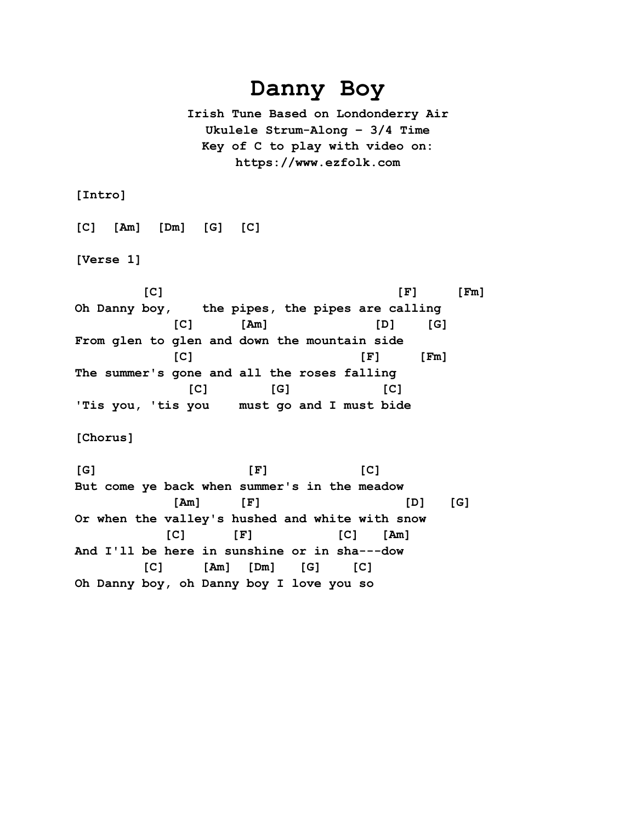## **Danny Boy**

**Irish Tune Based on Londonderry Air Ukulele Strum-Along – 3/4 Time Key of C to play with video on: https://www.ezfolk.com**

**[Intro]**

**[C] [Am] [Dm] [G] [C]**

**[Verse 1]**

 **[C] [F] [Fm] Oh Danny boy, the pipes, the pipes are calling [C] [Am] [D] [G] From glen to glen and down the mountain side [C] [F] [Fm] The summer's gone and all the roses falling [C] [G] [C] 'Tis you, 'tis you must go and I must bide**

**[Chorus]**

**[G] [F] [C] But come ye back when summer's in the meadow [Am] [F] [D] [G] Or when the valley's hushed and white with snow [C] [F] [C] [Am] And I'll be here in sunshine or in sha---dow [C] [Am] [Dm] [G] [C] Oh Danny boy, oh Danny boy I love you so**